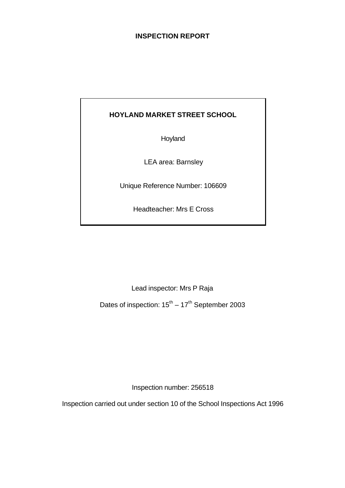# **INSPECTION REPORT**

# **HOYLAND MARKET STREET SCHOOL**

Hoyland

LEA area: Barnsley

Unique Reference Number: 106609

Headteacher: Mrs E Cross

Lead inspector: Mrs P Raja

Dates of inspection:  $15^{th} - 17^{th}$  September 2003

Inspection number: 256518

Inspection carried out under section 10 of the School Inspections Act 1996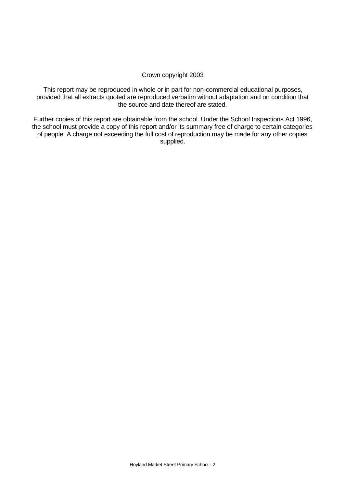## Crown copyright 2003

This report may be reproduced in whole or in part for non-commercial educational purposes, provided that all extracts quoted are reproduced verbatim without adaptation and on condition that the source and date thereof are stated.

Further copies of this report are obtainable from the school. Under the School Inspections Act 1996, the school must provide a copy of this report and/or its summary free of charge to certain categories of people. A charge not exceeding the full cost of reproduction may be made for any other copies supplied.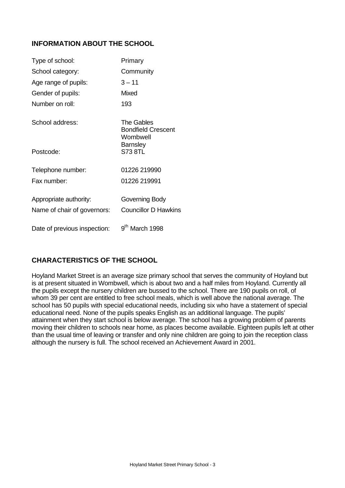# **INFORMATION ABOUT THE SCHOOL**

| Type of school:              | Primary                                             |
|------------------------------|-----------------------------------------------------|
| School category:             | Community                                           |
| Age range of pupils:         | $3 - 11$                                            |
| Gender of pupils:            | Mixed                                               |
| Number on roll:              | 193                                                 |
| School address:              | The Gables<br><b>Bondfield Crescent</b><br>Wombwell |
| Postcode:                    | <b>Barnsley</b><br>S73 8TL                          |
| Telephone number:            | 01226 219990                                        |
| Fax number:                  | 01226 219991                                        |
| Appropriate authority:       | Governing Body                                      |
| Name of chair of governors:  | <b>Councillor D Hawkins</b>                         |
| Date of previous inspection: | 9 <sup>th</sup> March 1998                          |

# **CHARACTERISTICS OF THE SCHOOL**

Hoyland Market Street is an average size primary school that serves the community of Hoyland but is at present situated in Wombwell, which is about two and a half miles from Hoyland. Currently all the pupils except the nursery children are bussed to the school. There are 190 pupils on roll, of whom 39 per cent are entitled to free school meals, which is well above the national average. The school has 50 pupils with special educational needs, including six who have a statement of special educational need. None of the pupils speaks English as an additional language. The pupils' attainment when they start school is below average. The school has a growing problem of parents moving their children to schools near home, as places become available. Eighteen pupils left at other than the usual time of leaving or transfer and only nine children are going to join the reception class although the nursery is full. The school received an Achievement Award in 2001.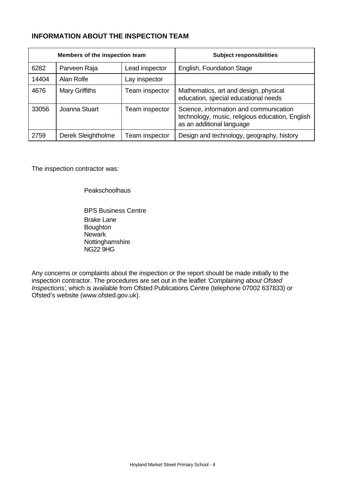# **INFORMATION ABOUT THE INSPECTION TEAM**

| Members of the inspection team |                       |                | <b>Subject responsibilities</b>                                                                                        |
|--------------------------------|-----------------------|----------------|------------------------------------------------------------------------------------------------------------------------|
| 6282                           | Parveen Raja          | Lead inspector | English, Foundation Stage                                                                                              |
| 14404                          | Alan Rolfe            | Lay inspector  |                                                                                                                        |
| 4676                           | <b>Mary Griffiths</b> | Team inspector | Mathematics, art and design, physical<br>education, special educational needs                                          |
| 33056                          | Joanna Stuart         | Team inspector | Science, information and communication<br>technology, music, religious education, English<br>as an additional language |
| 2759                           | Derek Sleightholme    | Team inspector | Design and technology, geography, history                                                                              |

The inspection contractor was:

Peakschoolhaus

BPS Business Centre Brake Lane Boughton Newark Nottinghamshire NG22 9HG

Any concerns or complaints about the inspection or the report should be made initially to the inspection contractor. The procedures are set out in the leaflet *'Complaining about Ofsted Inspections'*, which is available from Ofsted Publications Centre (telephone 07002 637833) or Ofsted's website (www.ofsted.gov.uk).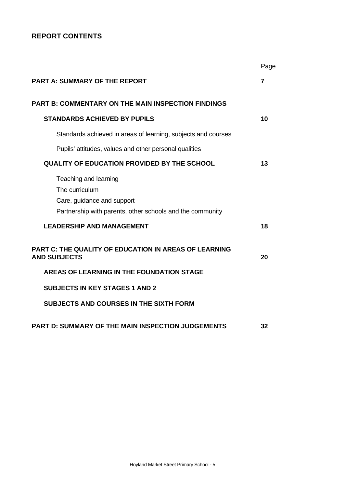# **REPORT CONTENTS**

|                                                                                                                                    | Page           |
|------------------------------------------------------------------------------------------------------------------------------------|----------------|
| <b>PART A: SUMMARY OF THE REPORT</b>                                                                                               | $\overline{7}$ |
| <b>PART B: COMMENTARY ON THE MAIN INSPECTION FINDINGS</b>                                                                          |                |
| <b>STANDARDS ACHIEVED BY PUPILS</b>                                                                                                | 10             |
| Standards achieved in areas of learning, subjects and courses                                                                      |                |
| Pupils' attitudes, values and other personal qualities                                                                             |                |
| <b>QUALITY OF EDUCATION PROVIDED BY THE SCHOOL</b>                                                                                 | 13             |
| Teaching and learning<br>The curriculum<br>Care, guidance and support<br>Partnership with parents, other schools and the community |                |
| <b>LEADERSHIP AND MANAGEMENT</b>                                                                                                   | 18             |
| <b>PART C: THE QUALITY OF EDUCATION IN AREAS OF LEARNING</b><br><b>AND SUBJECTS</b>                                                | 20             |
| AREAS OF LEARNING IN THE FOUNDATION STAGE                                                                                          |                |
| <b>SUBJECTS IN KEY STAGES 1 AND 2</b>                                                                                              |                |
| <b>SUBJECTS AND COURSES IN THE SIXTH FORM</b>                                                                                      |                |
| <b>PART D: SUMMARY OF THE MAIN INSPECTION JUDGEMENTS</b>                                                                           | 32             |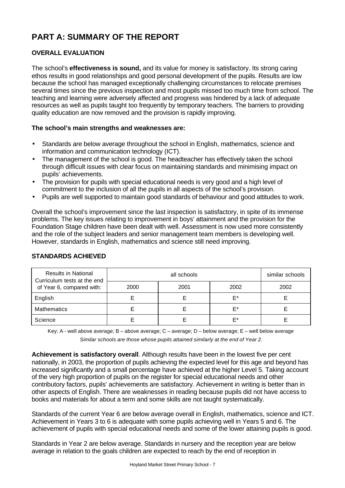# **PART A: SUMMARY OF THE REPORT**

# **OVERALL EVALUATION**

The school's **effectiveness is sound,** and its value for money is satisfactory. Its strong caring ethos results in good relationships and good personal development of the pupils. Results are low because the school has managed exceptionally challenging circumstances to relocate premises several times since the previous inspection and most pupils missed too much time from school. The teaching and learning were adversely affected and progress was hindered by a lack of adequate resources as well as pupils taught too frequently by temporary teachers. The barriers to providing quality education are now removed and the provision is rapidly improving.

# **The school's main strengths and weaknesses are:**

- Standards are below average throughout the school in English, mathematics, science and information and communication technology (ICT).
- The management of the school is good. The headteacher has effectively taken the school through difficult issues with clear focus on maintaining standards and minimising impact on pupils' achievements.
- The provision for pupils with special educational needs is very good and a high level of commitment to the inclusion of all the pupils in all aspects of the school's provision.
- Pupils are well supported to maintain good standards of behaviour and good attitudes to work.

Overall the school's improvement since the last inspection is satisfactory, in spite of its immense problems. The key issues relating to improvement in boys' attainment and the provision for the Foundation Stage children have been dealt with well. Assessment is now used more consistently and the role of the subject leaders and senior management team members is developing well. However, standards in English, mathematics and science still need improving.

| <b>Results in National</b><br>Curriculum tests at the end |      | similar schools |      |      |
|-----------------------------------------------------------|------|-----------------|------|------|
| of Year 6, compared with:                                 | 2000 | 2001            | 2002 | 2002 |
| English                                                   |      |                 | F*   |      |
| <b>Mathematics</b>                                        |      |                 | F*   |      |
| Science                                                   |      |                 | F*   |      |

## **STANDARDS ACHIEVED**

Key: A - well above average; B – above average; C – average; D – below average; E – well below average *Similar schools are those whose pupils attained similarly at the end of Year 2.*

**Achievement is satisfactory overall**. Although results have been in the lowest five per cent nationally, in 2003, the proportion of pupils achieving the expected level for this age and beyond has increased significantly and a small percentage have achieved at the higher Level 5. Taking account of the very high proportion of pupils on the register for special educational needs and other contributory factors, pupils' achievements are satisfactory. Achievement in writing is better than in other aspects of English. There are weaknesses in reading because pupils did not have access to books and materials for about a term and some skills are not taught systematically.

Standards of the current Year 6 are below average overall in English, mathematics, science and ICT. Achievement in Years 3 to 6 is adequate with some pupils achieving well in Years 5 and 6. The achievement of pupils with special educational needs and some of the lower attaining pupils is good.

Standards in Year 2 are below average. Standards in nursery and the reception year are below average in relation to the goals children are expected to reach by the end of reception in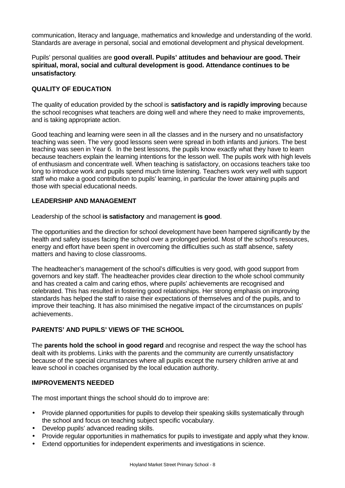communication, literacy and language, mathematics and knowledge and understanding of the world. Standards are average in personal, social and emotional development and physical development.

# Pupils' personal qualities are **good overall. Pupils' attitudes and behaviour are good. Their spiritual, moral, social and cultural development is good. Attendance continues to be unsatisfactory**.

# **QUALITY OF EDUCATION**

The quality of education provided by the school is **satisfactory and is rapidly improving** because the school recognises what teachers are doing well and where they need to make improvements, and is taking appropriate action.

Good teaching and learning were seen in all the classes and in the nursery and no unsatisfactory teaching was seen. The very good lessons seen were spread in both infants and juniors. The best teaching was seen in Year 6. In the best lessons, the pupils know exactly what they have to learn because teachers explain the learning intentions for the lesson well. The pupils work with high levels of enthusiasm and concentrate well. When teaching is satisfactory, on occasions teachers take too long to introduce work and pupils spend much time listening. Teachers work very well with support staff who make a good contribution to pupils' learning, in particular the lower attaining pupils and those with special educational needs.

# **LEADERSHIP AND MANAGEMENT**

Leadership of the school **is satisfactory** and management **is good**.

The opportunities and the direction for school development have been hampered significantly by the health and safety issues facing the school over a prolonged period. Most of the school's resources, energy and effort have been spent in overcoming the difficulties such as staff absence, safety matters and having to close classrooms.

The headteacher's management of the school's difficulties is very good, with good support from governors and key staff. The headteacher provides clear direction to the whole school community and has created a calm and caring ethos, where pupils' achievements are recognised and celebrated. This has resulted in fostering good relationships. Her strong emphasis on improving standards has helped the staff to raise their expectations of themselves and of the pupils, and to improve their teaching. It has also minimised the negative impact of the circumstances on pupils' achievements.

# **PARENTS' AND PUPILS' VIEWS OF THE SCHOOL**

The **parents hold the school in good regard** and recognise and respect the way the school has dealt with its problems. Links with the parents and the community are currently unsatisfactory because of the special circumstances where all pupils except the nursery children arrive at and leave school in coaches organised by the local education authority.

## **IMPROVEMENTS NEEDED**

The most important things the school should do to improve are:

- Provide planned opportunities for pupils to develop their speaking skills systematically through the school and focus on teaching subject specific vocabulary.
- Develop pupils' advanced reading skills.
- Provide regular opportunities in mathematics for pupils to investigate and apply what they know.
- Extend opportunities for independent experiments and investigations in science.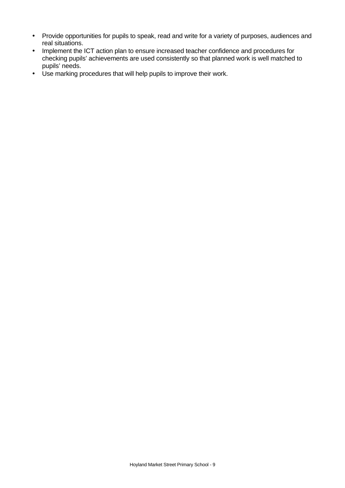- Provide opportunities for pupils to speak, read and write for a variety of purposes, audiences and real situations.
- Implement the ICT action plan to ensure increased teacher confidence and procedures for checking pupils' achievements are used consistently so that planned work is well matched to pupils' needs.
- Use marking procedures that will help pupils to improve their work.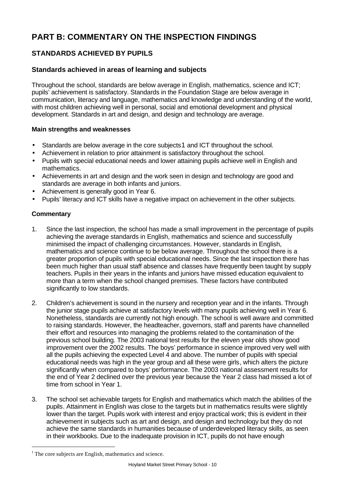# **PART B: COMMENTARY ON THE INSPECTION FINDINGS**

# **STANDARDS ACHIEVED BY PUPILS**

# **Standards achieved in areas of learning and subjects**

Throughout the school, standards are below average in English, mathematics, science and ICT; pupils' achievement is satisfactory. Standards in the Foundation Stage are below average in communication, literacy and language, mathematics and knowledge and understanding of the world, with most children achieving well in personal, social and emotional development and physical development. Standards in art and design, and design and technology are average.

# **Main strengths and weaknesses**

- Standards are below average in the core subjects 1 and ICT throughout the school.
- Achievement in relation to prior attainment is satisfactory throughout the school.
- Pupils with special educational needs and lower attaining pupils achieve well in English and mathematics.
- Achievements in art and design and the work seen in design and technology are good and standards are average in both infants and juniors.
- Achievement is generally good in Year 6.
- Pupils' literacy and ICT skills have a negative impact on achievement in the other subjects.

# **Commentary**

l

- 1. Since the last inspection, the school has made a small improvement in the percentage of pupils achieving the average standards in English, mathematics and science and successfully minimised the impact of challenging circumstances. However, standards in English, mathematics and science continue to be below average. Throughout the school there is a greater proportion of pupils with special educational needs. Since the last inspection there has been much higher than usual staff absence and classes have frequently been taught by supply teachers. Pupils in their years in the infants and juniors have missed education equivalent to more than a term when the school changed premises. These factors have contributed significantly to low standards.
- 2. Children's achievement is sound in the nursery and reception year and in the infants. Through the junior stage pupils achieve at satisfactory levels with many pupils achieving well in Year 6. Nonetheless, standards are currently not high enough. The school is well aware and committed to raising standards. However, the headteacher, governors, staff and parents have channelled their effort and resources into managing the problems related to the contamination of the previous school building. The 2003 national test results for the eleven year olds show good improvement over the 2002 results. The boys' performance in science improved very well with all the pupils achieving the expected Level 4 and above. The number of pupils with special educational needs was high in the year group and all these were girls, which alters the picture significantly when compared to boys' performance. The 2003 national assessment results for the end of Year 2 declined over the previous year because the Year 2 class had missed a lot of time from school in Year 1.
- 3. The school set achievable targets for English and mathematics which match the abilities of the pupils. Attainment in English was close to the targets but in mathematics results were slightly lower than the target. Pupils work with interest and enjoy practical work; this is evident in their achievement in subjects such as art and design, and design and technology but they do not achieve the same standards in humanities because of underdeveloped literacy skills, as seen in their workbooks. Due to the inadequate provision in ICT, pupils do not have enough

<sup>&</sup>lt;sup>1</sup> The core subjects are English, mathematics and science.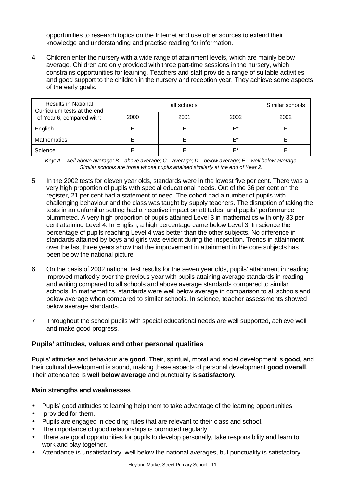opportunities to research topics on the Internet and use other sources to extend their knowledge and understanding and practise reading for information.

4. Children enter the nursery with a wide range of attainment levels, which are mainly below average. Children are only provided with three part-time sessions in the nursery, which constrains opportunities for learning. Teachers and staff provide a range of suitable activities and good support to the children in the nursery and reception year. They achieve some aspects of the early goals.

| <b>Results in National</b><br>Curriculum tests at the end |      | Similar schools |      |      |
|-----------------------------------------------------------|------|-----------------|------|------|
| of Year 6, compared with:                                 | 2000 | 2001            | 2002 | 2002 |
| English                                                   |      |                 | F*   |      |
| <b>Mathematics</b>                                        |      |                 | E*   |      |
| Science                                                   |      |                 | F*   |      |

*Key: A – well above average; B – above average; C – average; D – below average; E – well below average Similar schools are those whose pupils attained similarly at the end of Year 2.*

- 5. In the 2002 tests for eleven year olds, standards were in the lowest five per cent. There was a very high proportion of pupils with special educational needs. Out of the 36 per cent on the register, 21 per cent had a statement of need. The cohort had a number of pupils with challenging behaviour and the class was taught by supply teachers. The disruption of taking the tests in an unfamiliar setting had a negative impact on attitudes, and pupils' performance plummeted. A very high proportion of pupils attained Level 3 in mathematics with only 33 per cent attaining Level 4. In English, a high percentage came below Level 3. In science the percentage of pupils reaching Level 4 was better than the other subjects. No difference in standards attained by boys and girls was evident during the inspection. Trends in attainment over the last three years show that the improvement in attainment in the core subjects has been below the national picture.
- 6. On the basis of 2002 national test results for the seven year olds, pupils' attainment in reading improved markedly over the previous year with pupils attaining average standards in reading and writing compared to all schools and above average standards compared to similar schools. In mathematics, standards were well below average in comparison to all schools and below average when compared to similar schools. In science, teacher assessments showed below average standards.
- 7. Throughout the school pupils with special educational needs are well supported, achieve well and make good progress.

# **Pupils' attitudes, values and other personal qualities**

Pupils' attitudes and behaviour are **good**. Their, spiritual, moral and social development is **good**, and their cultural development is sound, making these aspects of personal development **good overall**. Their attendance is **well below average** and punctuality is **satisfactory**.

- Pupils' good attitudes to learning help them to take advantage of the learning opportunities
- provided for them.
- Pupils are engaged in deciding rules that are relevant to their class and school.
- The importance of good relationships is promoted regularly.
- There are good opportunities for pupils to develop personally, take responsibility and learn to work and play together.
- Attendance is unsatisfactory, well below the national averages, but punctuality is satisfactory.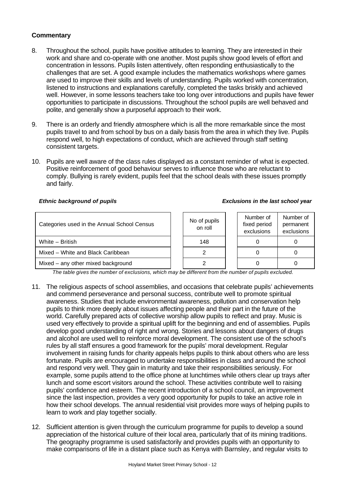- 8. Throughout the school, pupils have positive attitudes to learning. They are interested in their work and share and co-operate with one another. Most pupils show good levels of effort and concentration in lessons. Pupils listen attentively, often responding enthusiastically to the challenges that are set. A good example includes the mathematics workshops where games are used to improve their skills and levels of understanding. Pupils worked with concentration, listened to instructions and explanations carefully, completed the tasks briskly and achieved well. However, in some lessons teachers take too long over introductions and pupils have fewer opportunities to participate in discussions. Throughout the school pupils are well behaved and polite, and generally show a purposeful approach to their work.
- 9. There is an orderly and friendly atmosphere which is all the more remarkable since the most pupils travel to and from school by bus on a daily basis from the area in which they live. Pupils respond well, to high expectations of conduct, which are achieved through staff setting consistent targets.
- 10. Pupils are well aware of the class rules displayed as a constant reminder of what is expected. Positive reinforcement of good behaviour serves to influence those who are reluctant to comply. Bullying is rarely evident, pupils feel that the school deals with these issues promptly and fairly.

#### *Ethnic background of pupils Exclusions in the last school year*

| Categories used in the Annual School Census | No of pupils<br>on roll | Number of<br>fixed period<br>exclusions | Number of<br>permanent<br>exclusions |
|---------------------------------------------|-------------------------|-----------------------------------------|--------------------------------------|
| White - British                             | 148                     |                                         |                                      |
| Mixed – White and Black Caribbean           |                         |                                         |                                      |
| Mixed - any other mixed background          |                         |                                         |                                      |

*The table gives the number of exclusions, which may be different from the number of pupils excluded.*

- 11. The religious aspects of school assemblies, and occasions that celebrate pupils' achievements and commend perseverance and personal success, contribute well to promote spiritual awareness. Studies that include environmental awareness, pollution and conservation help pupils to think more deeply about issues affecting people and their part in the future of the world. Carefully prepared acts of collective worship allow pupils to reflect and pray. Music is used very effectively to provide a spiritual uplift for the beginning and end of assemblies. Pupils develop good understanding of right and wrong. Stories and lessons about dangers of drugs and alcohol are used well to reinforce moral development. The consistent use of the school's rules by all staff ensures a good framework for the pupils' moral development. Regular involvement in raising funds for charity appeals helps pupils to think about others who are less fortunate. Pupils are encouraged to undertake responsibilities in class and around the school and respond very well. They gain in maturity and take their responsibilities seriously. For example, some pupils attend to the office phone at lunchtimes while others clear up trays after lunch and some escort visitors around the school. These activities contribute well to raising pupils' confidence and esteem. The recent introduction of a school council, an improvement since the last inspection, provides a very good opportunity for pupils to take an active role in how their school develops. The annual residential visit provides more ways of helping pupils to learn to work and play together socially.
- 12. Sufficient attention is given through the curriculum programme for pupils to develop a sound appreciation of the historical culture of their local area, particularly that of its mining traditions. The geography programme is used satisfactorily and provides pupils with an opportunity to make comparisons of life in a distant place such as Kenya with Barnsley, and regular visits to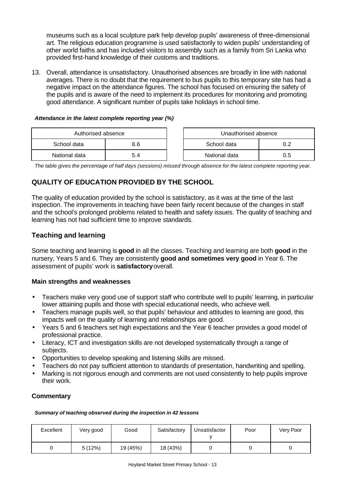museums such as a local sculpture park help develop pupils' awareness of three-dimensional art. The religious education programme is used satisfactorily to widen pupils' understanding of other world faiths and has included visitors to assembly such as a family from Sri Lanka who provided first-hand knowledge of their customs and traditions.

13. Overall, attendance is unsatisfactory. Unauthorised absences are broadly in line with national averages. There is no doubt that the requirement to bus pupils to this temporary site has had a negative impact on the attendance figures. The school has focused on ensuring the safety of the pupils and is aware of the need to implement its procedures for monitoring and promoting good attendance. A significant number of pupils take holidays in school time.

#### *Attendance in the latest complete reporting year (%)*

| Authorised absence |  |  | Unauthorised absence |     |
|--------------------|--|--|----------------------|-----|
| School data<br>8.6 |  |  | School data          | כ ו |
| National data      |  |  | National data        | .ა  |

*The table gives the percentage of half days (sessions) missed through absence for the latest complete reporting year.*

# **QUALITY OF EDUCATION PROVIDED BY THE SCHOOL**

The quality of education provided by the school is satisfactory, as it was at the time of the last inspection. The improvements in teaching have been fairly recent because of the changes in staff and the school's prolonged problems related to health and safety issues. The quality of teaching and learning has not had sufficient time to improve standards.

# **Teaching and learning**

Some teaching and learning is **good** in all the classes. Teaching and learning are both **good** in the nursery, Years 5 and 6. They are consistently **good and sometimes very good** in Year 6. The assessment of pupils' work is **satisfactory** overall.

## **Main strengths and weaknesses**

- Teachers make very good use of support staff who contribute well to pupils' learning, in particular lower attaining pupils and those with special educational needs, who achieve well.
- Teachers manage pupils well, so that pupils' behaviour and attitudes to learning are good, this impacts well on the quality of learning and relationships are good.
- Years 5 and 6 teachers set high expectations and the Year 6 teacher provides a good model of professional practice.
- Literacy, ICT and investigation skills are not developed systematically through a range of subjects.
- Opportunities to develop speaking and listening skills are missed.
- Teachers do not pay sufficient attention to standards of presentation, handwriting and spelling.
- Marking is not rigorous enough and comments are not used consistently to help pupils improve their work.

## **Commentary**

#### *Summary of teaching observed during the inspection in 42 lessons*

| Excellent | Very good | Good     | Satisfactory | Unsatisfactor | Poor | Very Poor |
|-----------|-----------|----------|--------------|---------------|------|-----------|
|           | 5(12%)    | 19 (45%) | 18 (43%)     |               |      |           |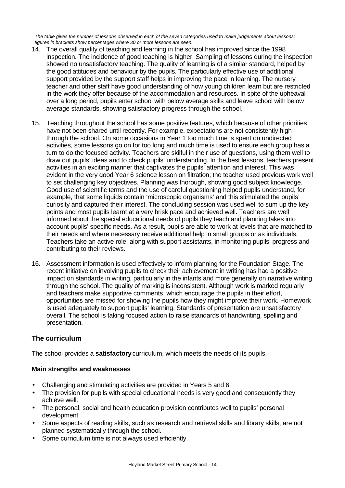*The table gives the number of lessons observed in each of the seven categories used to make judgements about lessons; figures in brackets show percentages where 30 or more lessons are seen.*

- 14. The overall quality of teaching and learning in the school has improved since the 1998 inspection. The incidence of good teaching is higher. Sampling of lessons during the inspection showed no unsatisfactory teaching. The quality of learning is of a similar standard, helped by the good attitudes and behaviour by the pupils. The particularly effective use of additional support provided by the support staff helps in improving the pace in learning. The nursery teacher and other staff have good understanding of how young children learn but are restricted in the work they offer because of the accommodation and resources. In spite of the upheaval over a long period, pupils enter school with below average skills and leave school with below average standards, showing satisfactory progress through the school.
- 15. Teaching throughout the school has some positive features, which because of other priorities have not been shared until recently. For example, expectations are not consistently high through the school. On some occasions in Year 1 too much time is spent on undirected activities, some lessons go on for too long and much time is used to ensure each group has a turn to do the focused activity. Teachers are skilful in their use of questions, using them well to draw out pupils' ideas and to check pupils' understanding. In the best lessons, teachers present activities in an exciting manner that captivates the pupils' attention and interest. This was evident in the very good Year 6 science lesson on filtration; the teacher used previous work well to set challenging key objectives. Planning was thorough, showing good subject knowledge. Good use of scientific terms and the use of careful questioning helped pupils understand, for example, that some liquids contain 'microscopic organisms' and this stimulated the pupils' curiosity and captured their interest. The concluding session was used well to sum up the key points and most pupils learnt at a very brisk pace and achieved well. Teachers are well informed about the special educational needs of pupils they teach and planning takes into account pupils' specific needs. As a result, pupils are able to work at levels that are matched to their needs and where necessary receive additional help in small groups or as individuals. Teachers take an active role, along with support assistants, in monitoring pupils' progress and contributing to their reviews.
- 16. Assessment information is used effectively to inform planning for the Foundation Stage. The recent initiative on involving pupils to check their achievement in writing has had a positive impact on standards in writing, particularly in the infants and more generally on narrative writing through the school. The quality of marking is inconsistent. Although work is marked regularly and teachers make supportive comments, which encourage the pupils in their effort, opportunities are missed for showing the pupils how they might improve their work. Homework is used adequately to support pupils' learning. Standards of presentation are unsatisfactory overall. The school is taking focused action to raise standards of handwriting, spelling and presentation.

# **The curriculum**

The school provides a **satisfactory** curriculum, which meets the needs of its pupils.

- Challenging and stimulating activities are provided in Years 5 and 6.
- The provision for pupils with special educational needs is very good and consequently they achieve well.
- The personal, social and health education provision contributes well to pupils' personal development.
- Some aspects of reading skills, such as research and retrieval skills and library skills, are not planned systematically through the school.
- Some curriculum time is not always used efficiently.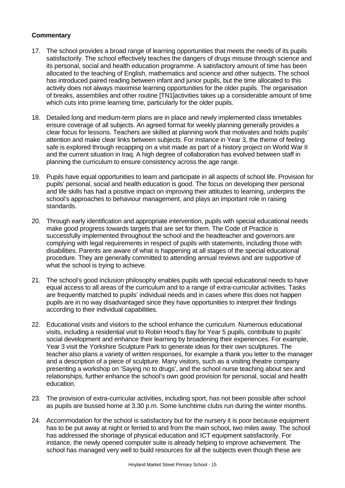- 17. The school provides a broad range of learning opportunities that meets the needs of its pupils satisfactorily. The school effectively teaches the dangers of drugs misuse through science and its personal, social and health education programme. A satisfactory amount of time has been allocated to the teaching of English, mathematics and science and other subjects. The school has introduced paired reading between infant and junior pupils, but the time allocated to this activity does not always maximise learning opportunities for the older pupils. The organisation of breaks, assemblies and other routine [TN1]activities takes up a considerable amount of time which cuts into prime learning time, particularly for the older pupils.
- 18. Detailed long and medium-term plans are in place and newly implemented class timetables ensure coverage of all subjects. An agreed format for weekly planning generally provides a clear focus for lessons. Teachers are skilled at planning work that motivates and holds pupils' attention and make clear links between subjects. For instance in Year 3, the theme of feeling safe is explored through recapping on a visit made as part of a history project on World War II and the current situation in Iraq. A high degree of collaboration has evolved between staff in planning the curriculum to ensure consistency across the age range.
- 19. Pupils have equal opportunities to learn and participate in all aspects of school life. Provision for pupils' personal, social and health education is good. The focus on developing their personal and life skills has had a positive impact on improving their attitudes to learning, underpins the school's approaches to behaviour management, and plays an important role in raising standards.
- 20. Through early identification and appropriate intervention, pupils with special educational needs make good progress towards targets that are set for them. The Code of Practice is successfully implemented throughout the school and the headteacher and governors are complying with legal requirements in respect of pupils with statements, including those with disabilities. Parents are aware of what is happening at all stages of the special educational procedure. They are generally committed to attending annual reviews and are supportive of what the school is trying to achieve.
- 21. The school's good inclusion philosophy enables pupils with special educational needs to have equal access to all areas of the curriculum and to a range of extra-curricular activities. Tasks are frequently matched to pupils' individual needs and in cases where this does not happen pupils are in no way disadvantaged since they have opportunities to interpret their findings according to their individual capabilities.
- 22. Educational visits and visitors to the school enhance the curriculum. Numerous educational visits, including a residential visit to Robin Hood's Bay for Year 5 pupils, contribute to pupils' social development and enhance their learning by broadening their experiences. For example, Year 3 visit the Yorkshire Sculpture Park to generate ideas for their own sculptures. The teacher also plans a variety of written responses, for example a thank you letter to the manager and a description of a piece of sculpture. Many visitors, such as a visiting theatre company presenting a workshop on 'Saying no to drugs', and the school nurse teaching about sex and relationships, further enhance the school's own good provision for personal, social and health education.
- 23. The provision of extra-curricular activities, including sport, has not been possible after school as pupils are bussed home at 3.30 p.m. Some lunchtime clubs run during the winter months.
- 24. Accommodation for the school is satisfactory but for the nursery it is poor because equipment has to be put away at night or ferried to and from the main school, two miles away. The school has addressed the shortage of physical education and ICT equipment satisfactorily. For instance, the newly opened computer suite is already helping to improve achievement. The school has managed very well to build resources for all the subjects even though these are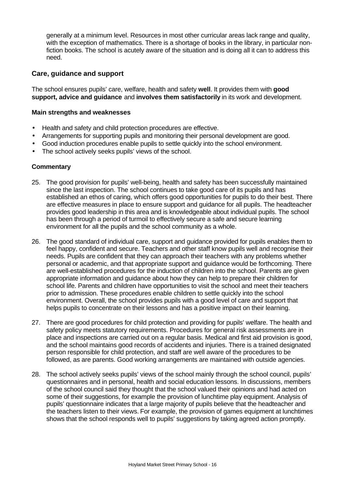generally at a minimum level. Resources in most other curricular areas lack range and quality, with the exception of mathematics. There is a shortage of books in the library, in particular nonfiction books. The school is acutely aware of the situation and is doing all it can to address this need.

# **Care, guidance and support**

The school ensures pupils' care, welfare, health and safety **well**. It provides them with **good support, advice and guidance** and **involves them satisfactorily** in its work and development.

#### **Main strengths and weaknesses**

- Health and safety and child protection procedures are effective.
- Arrangements for supporting pupils and monitoring their personal development are good.
- Good induction procedures enable pupils to settle quickly into the school environment.
- The school actively seeks pupils' views of the school.

- 25. The good provision for pupils' well-being, health and safety has been successfully maintained since the last inspection. The school continues to take good care of its pupils and has established an ethos of caring, which offers good opportunities for pupils to do their best. There are effective measures in place to ensure support and guidance for all pupils. The headteacher provides good leadership in this area and is knowledgeable about individual pupils. The school has been through a period of turmoil to effectively secure a safe and secure learning environment for all the pupils and the school community as a whole.
- 26. The good standard of individual care, support and guidance provided for pupils enables them to feel happy, confident and secure. Teachers and other staff know pupils well and recognise their needs. Pupils are confident that they can approach their teachers with any problems whether personal or academic, and that appropriate support and guidance would be forthcoming. There are well-established procedures for the induction of children into the school. Parents are given appropriate information and guidance about how they can help to prepare their children for school life. Parents and children have opportunities to visit the school and meet their teachers prior to admission. These procedures enable children to settle quickly into the school environment. Overall, the school provides pupils with a good level of care and support that helps pupils to concentrate on their lessons and has a positive impact on their learning.
- 27. There are good procedures for child protection and providing for pupils' welfare. The health and safety policy meets statutory requirements. Procedures for general risk assessments are in place and inspections are carried out on a regular basis. Medical and first aid provision is good, and the school maintains good records of accidents and injuries. There is a trained designated person responsible for child protection, and staff are well aware of the procedures to be followed, as are parents. Good working arrangements are maintained with outside agencies.
- 28. The school actively seeks pupils' views of the school mainly through the school council, pupils' questionnaires and in personal, health and social education lessons. In discussions, members of the school council said they thought that the school valued their opinions and had acted on some of their suggestions, for example the provision of lunchtime play equipment. Analysis of pupils' questionnaire indicates that a large majority of pupils believe that the headteacher and the teachers listen to their views. For example, the provision of games equipment at lunchtimes shows that the school responds well to pupils' suggestions by taking agreed action promptly.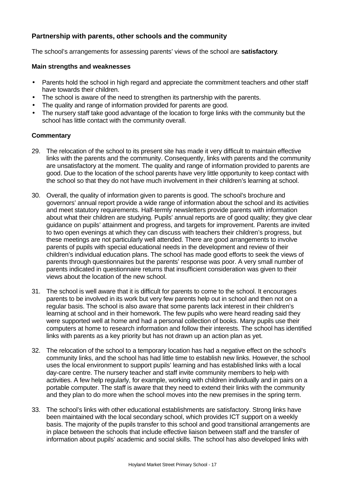# **Partnership with parents, other schools and the community**

The school's arrangements for assessing parents' views of the school are **satisfactory**.

## **Main strengths and weaknesses**

- Parents hold the school in high regard and appreciate the commitment teachers and other staff have towards their children.
- The school is aware of the need to strengthen its partnership with the parents.
- The quality and range of information provided for parents are good.
- The nursery staff take good advantage of the location to forge links with the community but the school has little contact with the community overall.

- 29. The relocation of the school to its present site has made it very difficult to maintain effective links with the parents and the community. Consequently, links with parents and the community are unsatisfactory at the moment. The quality and range of information provided to parents are good. Due to the location of the school parents have very little opportunity to keep contact with the school so that they do not have much involvement in their children's learning at school.
- 30. Overall, the quality of information given to parents is good. The school's brochure and governors' annual report provide a wide range of information about the school and its activities and meet statutory requirements. Half-termly newsletters provide parents with information about what their children are studying. Pupils' annual reports are of good quality; they give clear guidance on pupils' attainment and progress, and targets for improvement. Parents are invited to two open evenings at which they can discuss with teachers their children's progress, but these meetings are not particularly well attended. There are good arrangements to involve parents of pupils with special educational needs in the development and review of their children's individual education plans. The school has made good efforts to seek the views of parents through questionnaires but the parents' response was poor. A very small number of parents indicated in questionnaire returns that insufficient consideration was given to their views about the location of the new school.
- 31. The school is well aware that it is difficult for parents to come to the school. It encourages parents to be involved in its work but very few parents help out in school and then not on a regular basis. The school is also aware that some parents lack interest in their children's learning at school and in their homework. The few pupils who were heard reading said they were supported well at home and had a personal collection of books. Many pupils use their computers at home to research information and follow their interests. The school has identified links with parents as a key priority but has not drawn up an action plan as yet.
- 32. The relocation of the school to a temporary location has had a negative effect on the school's community links, and the school has had little time to establish new links. However, the school uses the local environment to support pupils' learning and has established links with a local day-care centre. The nursery teacher and staff invite community members to help with activities. A few help regularly, for example, working with children individually and in pairs on a portable computer. The staff is aware that they need to extend their links with the community and they plan to do more when the school moves into the new premises in the spring term.
- 33. The school's links with other educational establishments are satisfactory. Strong links have been maintained with the local secondary school, which provides ICT support on a weekly basis. The majority of the pupils transfer to this school and good transitional arrangements are in place between the schools that include effective liaison between staff and the transfer of information about pupils' academic and social skills. The school has also developed links with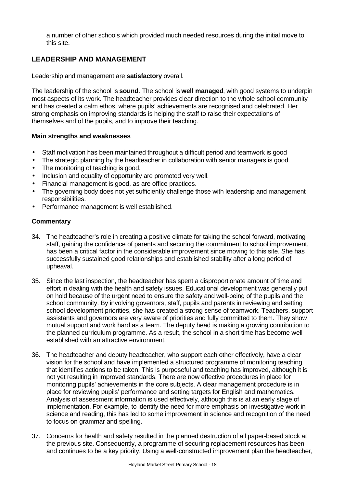a number of other schools which provided much needed resources during the initial move to this site.

# **LEADERSHIP AND MANAGEMENT**

Leadership and management are **satisfactory** overall.

The leadership of the school is **sound**. The school is **well managed**, with good systems to underpin most aspects of its work. The headteacher provides clear direction to the whole school community and has created a calm ethos, where pupils' achievements are recognised and celebrated. Her strong emphasis on improving standards is helping the staff to raise their expectations of themselves and of the pupils, and to improve their teaching.

#### **Main strengths and weaknesses**

- Staff motivation has been maintained throughout a difficult period and teamwork is good
- The strategic planning by the headteacher in collaboration with senior managers is good.
- The monitoring of teaching is good.
- Inclusion and equality of opportunity are promoted very well.
- Financial management is good, as are office practices.
- The governing body does not yet sufficiently challenge those with leadership and management responsibilities.
- Performance management is well established.

- 34. The headteacher's role in creating a positive climate for taking the school forward, motivating staff, gaining the confidence of parents and securing the commitment to school improvement, has been a critical factor in the considerable improvement since moving to this site. She has successfully sustained good relationships and established stability after a long period of upheaval.
- 35. Since the last inspection, the headteacher has spent a disproportionate amount of time and effort in dealing with the health and safety issues. Educational development was generally put on hold because of the urgent need to ensure the safety and well-being of the pupils and the school community. By involving governors, staff, pupils and parents in reviewing and setting school development priorities, she has created a strong sense of teamwork. Teachers, support assistants and governors are very aware of priorities and fully committed to them. They show mutual support and work hard as a team. The deputy head is making a growing contribution to the planned curriculum programme. As a result, the school in a short time has become well established with an attractive environment.
- 36. The headteacher and deputy headteacher, who support each other effectively, have a clear vision for the school and have implemented a structured programme of monitoring teaching that identifies actions to be taken. This is purposeful and teaching has improved, although it is not yet resulting in improved standards. There are now effective procedures in place for monitoring pupils' achievements in the core subjects. A clear management procedure is in place for reviewing pupils' performance and setting targets for English and mathematics. Analysis of assessment information is used effectively, although this is at an early stage of implementation. For example, to identify the need for more emphasis on investigative work in science and reading, this has led to some improvement in science and recognition of the need to focus on grammar and spelling.
- 37. Concerns for health and safety resulted in the planned destruction of all paper-based stock at the previous site. Consequently, a programme of securing replacement resources has been and continues to be a key priority. Using a well-constructed improvement plan the headteacher,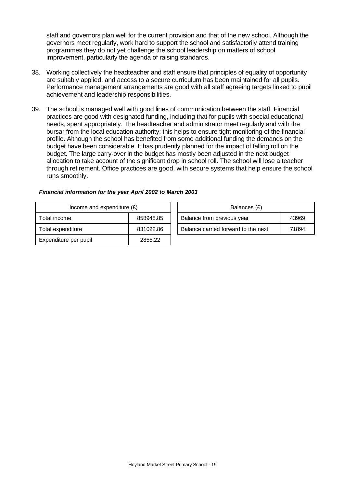staff and governors plan well for the current provision and that of the new school. Although the governors meet regularly, work hard to support the school and satisfactorily attend training programmes they do not yet challenge the school leadership on matters of school improvement, particularly the agenda of raising standards.

- 38. Working collectively the headteacher and staff ensure that principles of equality of opportunity are suitably applied, and access to a secure curriculum has been maintained for all pupils. Performance management arrangements are good with all staff agreeing targets linked to pupil achievement and leadership responsibilities.
- 39. The school is managed well with good lines of communication between the staff. Financial practices are good with designated funding, including that for pupils with special educational needs, spent appropriately. The headteacher and administrator meet regularly and with the bursar from the local education authority; this helps to ensure tight monitoring of the financial profile. Although the school has benefited from some additional funding the demands on the budget have been considerable. It has prudently planned for the impact of falling roll on the budget. The large carry-over in the budget has mostly been adjusted in the next budget allocation to take account of the significant drop in school roll. The school will lose a teacher through retirement. Office practices are good, with secure systems that help ensure the school runs smoothly.

| Income and expenditure $(E)$ |           |  | Balances (£)                        |       |  |
|------------------------------|-----------|--|-------------------------------------|-------|--|
| Total income                 | 858948.85 |  | Balance from previous year          | 43969 |  |
| Total expenditure            | 831022.86 |  | Balance carried forward to the next | 71894 |  |
| Expenditure per pupil        | 2855.22   |  |                                     |       |  |

#### *Financial information for the year April 2002 to March 2003*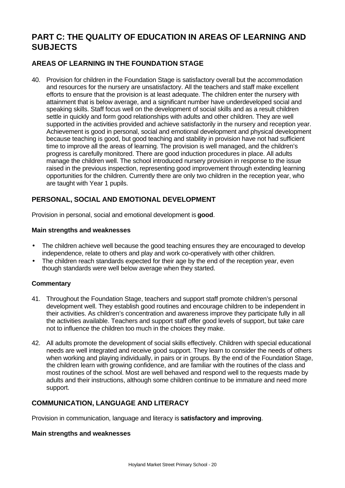# **PART C: THE QUALITY OF EDUCATION IN AREAS OF LEARNING AND SUBJECTS**

# **AREAS OF LEARNING IN THE FOUNDATION STAGE**

40. Provision for children in the Foundation Stage is satisfactory overall but the accommodation and resources for the nursery are unsatisfactory. All the teachers and staff make excellent efforts to ensure that the provision is at least adequate. The children enter the nursery with attainment that is below average, and a significant number have underdeveloped social and speaking skills. Staff focus well on the development of social skills and as a result children settle in quickly and form good relationships with adults and other children. They are well supported in the activities provided and achieve satisfactorily in the nursery and reception year. Achievement is good in personal, social and emotional development and physical development because teaching is good, but good teaching and stability in provision have not had sufficient time to improve all the areas of learning. The provision is well managed, and the children's progress is carefully monitored. There are good induction procedures in place. All adults manage the children well. The school introduced nursery provision in response to the issue raised in the previous inspection, representing good improvement through extending learning opportunities for the children. Currently there are only two children in the reception year, who are taught with Year 1 pupils.

# **PERSONAL, SOCIAL AND EMOTIONAL DEVELOPMENT**

Provision in personal, social and emotional development is **good**.

#### **Main strengths and weaknesses**

- The children achieve well because the good teaching ensures they are encouraged to develop independence, relate to others and play and work co-operatively with other children.
- The children reach standards expected for their age by the end of the reception year, even though standards were well below average when they started.

## **Commentary**

- 41. Throughout the Foundation Stage, teachers and support staff promote children's personal development well. They establish good routines and encourage children to be independent in their activities. As children's concentration and awareness improve they participate fully in all the activities available. Teachers and support staff offer good levels of support, but take care not to influence the children too much in the choices they make.
- 42. All adults promote the development of social skills effectively. Children with special educational needs are well integrated and receive good support. They learn to consider the needs of others when working and playing individually, in pairs or in groups. By the end of the Foundation Stage, the children learn with growing confidence, and are familiar with the routines of the class and most routines of the school. Most are well behaved and respond well to the requests made by adults and their instructions, although some children continue to be immature and need more support.

## **COMMUNICATION, LANGUAGE AND LITERACY**

Provision in communication, language and literacy is **satisfactory and improving**.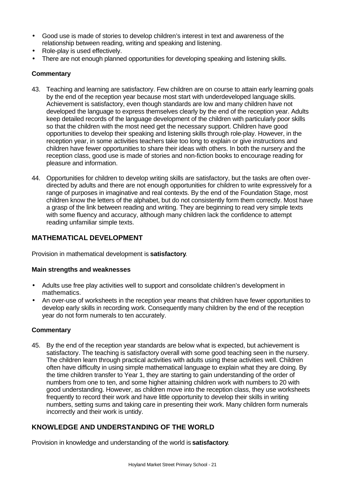- Good use is made of stories to develop children's interest in text and awareness of the relationship between reading, writing and speaking and listening.
- Role-play is used effectively.
- There are not enough planned opportunities for developing speaking and listening skills.

- 43. Teaching and learning are satisfactory. Few children are on course to attain early learning goals by the end of the reception year because most start with underdeveloped language skills. Achievement is satisfactory, even though standards are low and many children have not developed the language to express themselves clearly by the end of the reception year. Adults keep detailed records of the language development of the children with particularly poor skills so that the children with the most need get the necessary support. Children have good opportunities to develop their speaking and listening skills through role-play. However, in the reception year, in some activities teachers take too long to explain or give instructions and children have fewer opportunities to share their ideas with others. In both the nursery and the reception class, good use is made of stories and non-fiction books to encourage reading for pleasure and information.
- 44. Opportunities for children to develop writing skills are satisfactory, but the tasks are often overdirected by adults and there are not enough opportunities for children to write expressively for a range of purposes in imaginative and real contexts. By the end of the Foundation Stage, most children know the letters of the alphabet, but do not consistently form them correctly. Most have a grasp of the link between reading and writing. They are beginning to read very simple texts with some fluency and accuracy, although many children lack the confidence to attempt reading unfamiliar simple texts.

# **MATHEMATICAL DEVELOPMENT**

Provision in mathematical development is **satisfactory**.

## **Main strengths and weaknesses**

- Adults use free play activities well to support and consolidate children's development in mathematics.
- An over-use of worksheets in the reception year means that children have fewer opportunities to develop early skills in recording work. Consequently many children by the end of the reception year do not form numerals to ten accurately.

## **Commentary**

45. By the end of the reception year standards are below what is expected, but achievement is satisfactory. The teaching is satisfactory overall with some good teaching seen in the nursery. The children learn through practical activities with adults using these activities well. Children often have difficulty in using simple mathematical language to explain what they are doing. By the time children transfer to Year 1, they are starting to gain understanding of the order of numbers from one to ten, and some higher attaining children work with numbers to 20 with good understanding. However, as children move into the reception class, they use worksheets frequently to record their work and have little opportunity to develop their skills in writing numbers, setting sums and taking care in presenting their work. Many children form numerals incorrectly and their work is untidy.

# **KNOWLEDGE AND UNDERSTANDING OF THE WORLD**

Provision in knowledge and understanding of the world is **satisfactory**.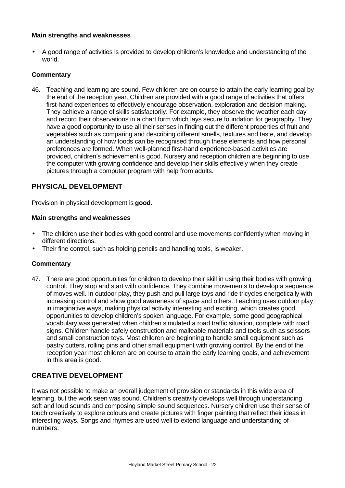#### **Main strengths and weaknesses**

• A good range of activities is provided to develop children's knowledge and understanding of the world.

## **Commentary**

46. Teaching and learning are sound. Few children are on course to attain the early learning goal by the end of the reception year. Children are provided with a good range of activities that offers first-hand experiences to effectively encourage observation, exploration and decision making. They achieve a range of skills satisfactorily. For example, they observe the weather each day and record their observations in a chart form which lays secure foundation for geography. They have a good opportunity to use all their senses in finding out the different properties of fruit and vegetables such as comparing and describing different smells, textures and taste, and develop an understanding of how foods can be recognised through these elements and how personal preferences are formed. When well-planned first-hand experience-based activities are provided, children's achievement is good. Nursery and reception children are beginning to use the computer with growing confidence and develop their skills effectively when they create pictures through a computer program with help from adults.

# **PHYSICAL DEVELOPMENT**

Provision in physical development is **good**.

## **Main strengths and weaknesses**

- The children use their bodies with good control and use movements confidently when moving in different directions.
- Their fine control, such as holding pencils and handling tools, is weaker.

## **Commentary**

47. There are good opportunities for children to develop their skill in using their bodies with growing control. They stop and start with confidence. They combine movements to develop a sequence of moves well. In outdoor play, they push and pull large toys and ride tricycles energetically with increasing control and show good awareness of space and others. Teaching uses outdoor play in imaginative ways, making physical activity interesting and exciting, which creates good opportunities to develop children's spoken language. For example, some good geographical vocabulary was generated when children simulated a road traffic situation, complete with road signs. Children handle safely construction and malleable materials and tools such as scissors and small construction toys. Most children are beginning to handle small equipment such as pastry cutters, rolling pins and other small equipment with growing control. By the end of the reception year most children are on course to attain the early learning goals, and achievement in this area is good.

# **CREATIVE DEVELOPMENT**

It was not possible to make an overall judgement of provision or standards in this wide area of learning, but the work seen was sound. Children's creativity develops well through understanding soft and loud sounds and composing simple sound sequences. Nursery children use their sense of touch creatively to explore colours and create pictures with finger painting that reflect their ideas in interesting ways. Songs and rhymes are used well to extend language and understanding of numbers.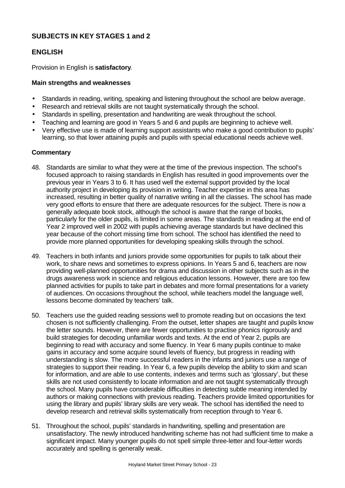# **SUBJECTS IN KEY STAGES 1 and 2**

# **ENGLISH**

Provision in English is **satisfactory**.

# **Main strengths and weaknesses**

- Standards in reading, writing, speaking and listening throughout the school are below average.
- Research and retrieval skills are not taught systematically through the school.
- Standards in spelling, presentation and handwriting are weak throughout the school.
- Teaching and learning are good in Years 5 and 6 and pupils are beginning to achieve well.
- Very effective use is made of learning support assistants who make a good contribution to pupils' learning, so that lower attaining pupils and pupils with special educational needs achieve well.

- 48. Standards are similar to what they were at the time of the previous inspection. The school's focused approach to raising standards in English has resulted in good improvements over the previous year in Years 3 to 6. It has used well the external support provided by the local authority project in developing its provision in writing. Teacher expertise in this area has increased, resulting in better quality of narrative writing in all the classes. The school has made very good efforts to ensure that there are adequate resources for the subject. There is now a generally adequate book stock, although the school is aware that the range of books, particularly for the older pupils, is limited in some areas. The standards in reading at the end of Year 2 improved well in 2002 with pupils achieving average standards but have declined this year because of the cohort missing time from school. The school has identified the need to provide more planned opportunities for developing speaking skills through the school.
- 49. Teachers in both infants and juniors provide some opportunities for pupils to talk about their work, to share news and sometimes to express opinions. In Years 5 and 6, teachers are now providing well-planned opportunities for drama and discussion in other subjects such as in the drugs awareness work in science and religious education lessons. However, there are too few planned activities for pupils to take part in debates and more formal presentations for a variety of audiences. On occasions throughout the school, while teachers model the language well, lessons become dominated by teachers' talk.
- 50. Teachers use the guided reading sessions well to promote reading but on occasions the text chosen is not sufficiently challenging. From the outset, letter shapes are taught and pupils know the letter sounds. However, there are fewer opportunities to practise phonics rigorously and build strategies for decoding unfamiliar words and texts. At the end of Year 2, pupils are beginning to read with accuracy and some fluency. In Year 6 many pupils continue to make gains in accuracy and some acquire sound levels of fluency, but progress in reading with understanding is slow. The more successful readers in the infants and juniors use a range of strategies to support their reading. In Year 6, a few pupils develop the ability to skim and scan for information, and are able to use contents, indexes and terms such as 'glossary', but these skills are not used consistently to locate information and are not taught systematically through the school. Many pupils have considerable difficulties in detecting subtle meaning intended by authors or making connections with previous reading. Teachers provide limited opportunities for using the library and pupils' library skills are very weak. The school has identified the need to develop research and retrieval skills systematically from reception through to Year 6.
- 51. Throughout the school, pupils' standards in handwriting, spelling and presentation are unsatisfactory. The newly introduced handwriting scheme has not had sufficient time to make a significant impact. Many younger pupils do not spell simple three-letter and four-letter words accurately and spelling is generally weak.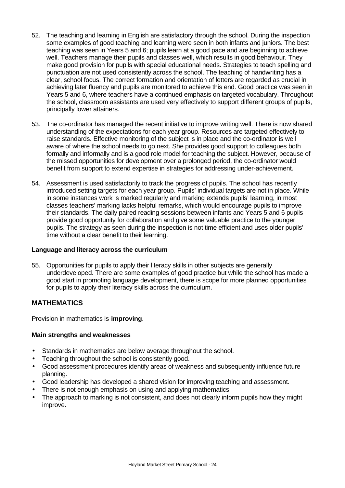- 52. The teaching and learning in English are satisfactory through the school. During the inspection some examples of good teaching and learning were seen in both infants and juniors. The best teaching was seen in Years 5 and 6; pupils learn at a good pace and are beginning to achieve well. Teachers manage their pupils and classes well, which results in good behaviour. They make good provision for pupils with special educational needs. Strategies to teach spelling and punctuation are not used consistently across the school. The teaching of handwriting has a clear, school focus. The correct formation and orientation of letters are regarded as crucial in achieving later fluency and pupils are monitored to achieve this end. Good practice was seen in Years 5 and 6, where teachers have a continued emphasis on targeted vocabulary. Throughout the school, classroom assistants are used very effectively to support different groups of pupils, principally lower attainers.
- 53. The co-ordinator has managed the recent initiative to improve writing well. There is now shared understanding of the expectations for each year group. Resources are targeted effectively to raise standards. Effective monitoring of the subject is in place and the co-ordinator is well aware of where the school needs to go next. She provides good support to colleagues both formally and informally and is a good role model for teaching the subject. However, because of the missed opportunities for development over a prolonged period, the co-ordinator would benefit from support to extend expertise in strategies for addressing under-achievement.
- 54. Assessment is used satisfactorily to track the progress of pupils. The school has recently introduced setting targets for each year group. Pupils' individual targets are not in place. While in some instances work is marked regularly and marking extends pupils' learning, in most classes teachers' marking lacks helpful remarks, which would encourage pupils to improve their standards. The daily paired reading sessions between infants and Years 5 and 6 pupils provide good opportunity for collaboration and give some valuable practice to the younger pupils. The strategy as seen during the inspection is not time efficient and uses older pupils' time without a clear benefit to their learning.

## **Language and literacy across the curriculum**

55. Opportunities for pupils to apply their literacy skills in other subjects are generally underdeveloped. There are some examples of good practice but while the school has made a good start in promoting language development, there is scope for more planned opportunities for pupils to apply their literacy skills across the curriculum.

# **MATHEMATICS**

Provision in mathematics is **improving**.

- Standards in mathematics are below average throughout the school.
- Teaching throughout the school is consistently good.
- Good assessment procedures identify areas of weakness and subsequently influence future planning.
- Good leadership has developed a shared vision for improving teaching and assessment.
- There is not enough emphasis on using and applying mathematics.
- The approach to marking is not consistent, and does not clearly inform pupils how they might improve.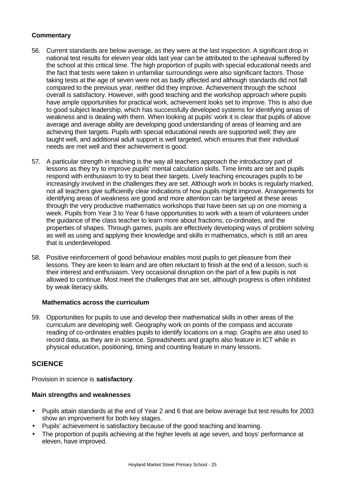- 56. Current standards are below average, as they were at the last inspection. A significant drop in national test results for eleven year olds last year can be attributed to the upheaval suffered by the school at this critical time. The high proportion of pupils with special educational needs and the fact that tests were taken in unfamiliar surroundings were also significant factors. Those taking tests at the age of seven were not as badly affected and although standards did not fall compared to the previous year, neither did they improve. Achievement through the school overall is satisfactory. However, with good teaching and the workshop approach where pupils have ample opportunities for practical work, achievement looks set to improve. This is also due to good subject leadership, which has successfully developed systems for identifying areas of weakness and is dealing with them. When looking at pupils' work it is clear that pupils of above average and average ability are developing good understanding of areas of learning and are achieving their targets. Pupils with special educational needs are supported well; they are taught well, and additional adult support is well targeted, which ensures that their individual needs are met well and their achievement is good.
- 57. A particular strength in teaching is the way all teachers approach the introductory part of lessons as they try to improve pupils' mental calculation skills. Time limits are set and pupils respond with enthusiasm to try to beat their targets. Lively teaching encourages pupils to be increasingly involved in the challenges they are set. Although work in books is regularly marked, not all teachers give sufficiently clear indications of how pupils might improve. Arrangements for identifying areas of weakness are good and more attention can be targeted at these areas through the very productive mathematics workshops that have been set up on one morning a week. Pupils from Year 3 to Year 6 have opportunities to work with a team of volunteers under the guidance of the class teacher to learn more about fractions, co-ordinates, and the properties of shapes. Through games, pupils are effectively developing ways of problem solving as well as using and applying their knowledge and skills in mathematics, which is still an area that is underdeveloped.
- 58. Positive reinforcement of good behaviour enables most pupils to get pleasure from their lessons. They are keen to learn and are often reluctant to finish at the end of a lesson, such is their interest and enthusiasm. Very occasional disruption on the part of a few pupils is not allowed to continue. Most meet the challenges that are set, although progress is often inhibited by weak literacy skills.

## **Mathematics across the curriculum**

59. Opportunities for pupils to use and develop their mathematical skills in other areas of the curriculum are developing well. Geography work on points of the compass and accurate reading of co-ordinates enables pupils to identify locations on a map. Graphs are also used to record data, as they are in science. Spreadsheets and graphs also feature in ICT while in physical education, positioning, timing and counting feature in many lessons.

## **SCIENCE**

Provision in science is **satisfactory**.

- Pupils attain standards at the end of Year 2 and 6 that are below average but test results for 2003 show an improvement for both key stages.
- Pupils' achievement is satisfactory because of the good teaching and learning.
- The proportion of pupils achieving at the higher levels at age seven, and boys' performance at eleven, have improved.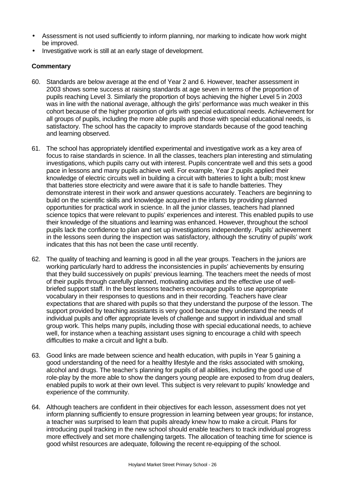- Assessment is not used sufficiently to inform planning, nor marking to indicate how work might be improved.
- Investigative work is still at an early stage of development.

- 60. Standards are below average at the end of Year 2 and 6. However, teacher assessment in 2003 shows some success at raising standards at age seven in terms of the proportion of pupils reaching Level 3. Similarly the proportion of boys achieving the higher Level 5 in 2003 was in line with the national average, although the girls' performance was much weaker in this cohort because of the higher proportion of girls with special educational needs. Achievement for all groups of pupils, including the more able pupils and those with special educational needs, is satisfactory. The school has the capacity to improve standards because of the good teaching and learning observed.
- 61. The school has appropriately identified experimental and investigative work as a key area of focus to raise standards in science. In all the classes, teachers plan interesting and stimulating investigations, which pupils carry out with interest. Pupils concentrate well and this sets a good pace in lessons and many pupils achieve well. For example, Year 2 pupils applied their knowledge of electric circuits well in building a circuit with batteries to light a bulb; most knew that batteries store electricity and were aware that it is safe to handle batteries. They demonstrate interest in their work and answer questions accurately. Teachers are beginning to build on the scientific skills and knowledge acquired in the infants by providing planned opportunities for practical work in science. In all the junior classes, teachers had planned science topics that were relevant to pupils' experiences and interest. This enabled pupils to use their knowledge of the situations and learning was enhanced. However, throughout the school pupils lack the confidence to plan and set up investigations independently. Pupils' achievement in the lessons seen during the inspection was satisfactory, although the scrutiny of pupils' work indicates that this has not been the case until recently.
- 62. The quality of teaching and learning is good in all the year groups. Teachers in the juniors are working particularly hard to address the inconsistencies in pupils' achievements by ensuring that they build successively on pupils' previous learning. The teachers meet the needs of most of their pupils through carefully planned, motivating activities and the effective use of wellbriefed support staff. In the best lessons teachers encourage pupils to use appropriate vocabulary in their responses to questions and in their recording. Teachers have clear expectations that are shared with pupils so that they understand the purpose of the lesson. The support provided by teaching assistants is very good because they understand the needs of individual pupils and offer appropriate levels of challenge and support in individual and small group work. This helps many pupils, including those with special educational needs, to achieve well, for instance when a teaching assistant uses signing to encourage a child with speech difficulties to make a circuit and light a bulb.
- 63. Good links are made between science and health education, with pupils in Year 5 gaining a good understanding of the need for a healthy lifestyle and the risks associated with smoking, alcohol and drugs. The teacher's planning for pupils of all abilities, including the good use of role-play by the more able to show the dangers young people are exposed to from drug dealers, enabled pupils to work at their own level. This subject is very relevant to pupils' knowledge and experience of the community.
- 64. Although teachers are confident in their objectives for each lesson, assessment does not yet inform planning sufficiently to ensure progression in learning between year groups; for instance, a teacher was surprised to learn that pupils already knew how to make a circuit. Plans for introducing pupil tracking in the new school should enable teachers to track individual progress more effectively and set more challenging targets. The allocation of teaching time for science is good whilst resources are adequate, following the recent re-equipping of the school.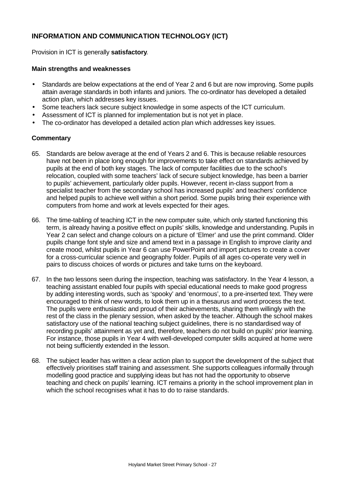# **INFORMATION AND COMMUNICATION TECHNOLOGY (ICT)**

Provision in ICT is generally **satisfactory**.

## **Main strengths and weaknesses**

- Standards are below expectations at the end of Year 2 and 6 but are now improving. Some pupils attain average standards in both infants and juniors. The co-ordinator has developed a detailed action plan, which addresses key issues.
- Some teachers lack secure subject knowledge in some aspects of the ICT curriculum.
- Assessment of ICT is planned for implementation but is not yet in place.
- The co-ordinator has developed a detailed action plan which addresses key issues.

- 65. Standards are below average at the end of Years 2 and 6. This is because reliable resources have not been in place long enough for improvements to take effect on standards achieved by pupils at the end of both key stages. The lack of computer facilities due to the school's relocation, coupled with some teachers' lack of secure subject knowledge, has been a barrier to pupils' achievement, particularly older pupils. However, recent in-class support from a specialist teacher from the secondary school has increased pupils' and teachers' confidence and helped pupils to achieve well within a short period. Some pupils bring their experience with computers from home and work at levels expected for their ages.
- 66. The time-tabling of teaching ICT in the new computer suite, which only started functioning this term, is already having a positive effect on pupils' skills, knowledge and understanding. Pupils in Year 2 can select and change colours on a picture of 'Elmer' and use the print command. Older pupils change font style and size and amend text in a passage in English to improve clarity and create mood, whilst pupils in Year 6 can use PowerPoint and import pictures to create a cover for a cross-curricular science and geography folder. Pupils of all ages co-operate very well in pairs to discuss choices of words or pictures and take turns on the keyboard.
- 67. In the two lessons seen during the inspection, teaching was satisfactory. In the Year 4 lesson, a teaching assistant enabled four pupils with special educational needs to make good progress by adding interesting words, such as 'spooky' and 'enormous', to a pre-inserted text. They were encouraged to think of new words, to look them up in a thesaurus and word process the text. The pupils were enthusiastic and proud of their achievements, sharing them willingly with the rest of the class in the plenary session, when asked by the teacher. Although the school makes satisfactory use of the national teaching subject guidelines, there is no standardised way of recording pupils' attainment as yet and, therefore, teachers do not build on pupils' prior learning. For instance, those pupils in Year 4 with well-developed computer skills acquired at home were not being sufficiently extended in the lesson.
- 68. The subject leader has written a clear action plan to support the development of the subject that effectively prioritises staff training and assessment. She supports colleagues informally through modelling good practice and supplying ideas but has not had the opportunity to observe teaching and check on pupils' learning. ICT remains a priority in the school improvement plan in which the school recognises what it has to do to raise standards.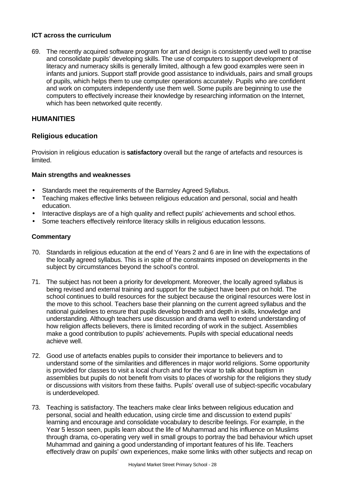## **ICT across the curriculum**

69. The recently acquired software program for art and design is consistently used well to practise and consolidate pupils' developing skills. The use of computers to support development of literacy and numeracy skills is generally limited, although a few good examples were seen in infants and juniors. Support staff provide good assistance to individuals, pairs and small groups of pupils, which helps them to use computer operations accurately. Pupils who are confident and work on computers independently use them well. Some pupils are beginning to use the computers to effectively increase their knowledge by researching information on the Internet, which has been networked quite recently.

# **HUMANITIES**

# **Religious education**

Provision in religious education is **satisfactory** overall but the range of artefacts and resources is limited.

# **Main strengths and weaknesses**

- Standards meet the requirements of the Barnsley Agreed Syllabus.
- Teaching makes effective links between religious education and personal, social and health education.
- Interactive displays are of a high quality and reflect pupils' achievements and school ethos.
- Some teachers effectively reinforce literacy skills in religious education lessons.

- 70. Standards in religious education at the end of Years 2 and 6 are in line with the expectations of the locally agreed syllabus. This is in spite of the constraints imposed on developments in the subject by circumstances beyond the school's control.
- 71. The subject has not been a priority for development. Moreover, the locally agreed syllabus is being revised and external training and support for the subject have been put on hold. The school continues to build resources for the subject because the original resources were lost in the move to this school. Teachers base their planning on the current agreed syllabus and the national guidelines to ensure that pupils develop breadth and depth in skills, knowledge and understanding. Although teachers use discussion and drama well to extend understanding of how religion affects believers, there is limited recording of work in the subject. Assemblies make a good contribution to pupils' achievements. Pupils with special educational needs achieve well.
- 72. Good use of artefacts enables pupils to consider their importance to believers and to understand some of the similarities and differences in major world religions. Some opportunity is provided for classes to visit a local church and for the vicar to talk about baptism in assemblies but pupils do not benefit from visits to places of worship for the religions they study or discussions with visitors from these faiths. Pupils' overall use of subject-specific vocabulary is underdeveloped.
- 73. Teaching is satisfactory. The teachers make clear links between religious education and personal, social and health education, using circle time and discussion to extend pupils' learning and encourage and consolidate vocabulary to describe feelings. For example, in the Year 5 lesson seen, pupils learn about the life of Muhammad and his influence on Muslims through drama, co-operating very well in small groups to portray the bad behaviour which upset Muhammad and gaining a good understanding of important features of his life. Teachers effectively draw on pupils' own experiences, make some links with other subjects and recap on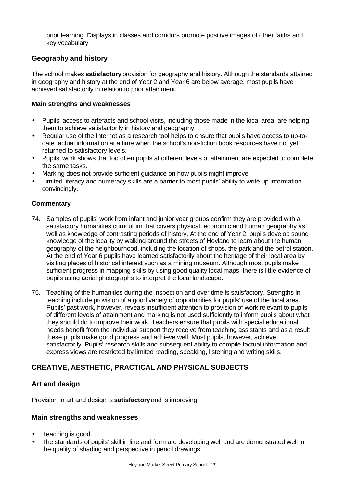prior learning. Displays in classes and corridors promote positive images of other faiths and key vocabulary.

# **Geography and history**

The school makes **satisfactory** provision for geography and history. Although the standards attained in geography and history at the end of Year 2 and Year 6 are below average, most pupils have achieved satisfactorily in relation to prior attainment.

#### **Main strengths and weaknesses**

- Pupils' access to artefacts and school visits, including those made in the local area, are helping them to achieve satisfactorily in history and geography.
- Regular use of the Internet as a research tool helps to ensure that pupils have access to up-todate factual information at a time when the school's non-fiction book resources have not yet returned to satisfactory levels.
- Pupils' work shows that too often pupils at different levels of attainment are expected to complete the same tasks.
- Marking does not provide sufficient guidance on how pupils might improve.
- Limited literacy and numeracy skills are a barrier to most pupils' ability to write up information convincingly.

#### **Commentary**

- 74. Samples of pupils' work from infant and junior year groups confirm they are provided with a satisfactory humanities curriculum that covers physical, economic and human geography as well as knowledge of contrasting periods of history. At the end of Year 2, pupils develop sound knowledge of the locality by walking around the streets of Hoyland to learn about the human geography of the neighbourhood, including the location of shops, the park and the petrol station. At the end of Year 6 pupils have learned satisfactorily about the heritage of their local area by visiting places of historical interest such as a mining museum. Although most pupils make sufficient progress in mapping skills by using good quality local maps, there is little evidence of pupils using aerial photographs to interpret the local landscape.
- 75. Teaching of the humanities during the inspection and over time is satisfactory. Strengths in teaching include provision of a good variety of opportunities for pupils' use of the local area. Pupils' past work, however, reveals insufficient attention to provision of work relevant to pupils of different levels of attainment and marking is not used sufficiently to inform pupils about what they should do to improve their work. Teachers ensure that pupils with special educational needs benefit from the individual support they receive from teaching assistants and as a result these pupils make good progress and achieve well. Most pupils, however, achieve satisfactorily. Pupils' research skills and subsequent ability to compile factual information and express views are restricted by limited reading, speaking, listening and writing skills.

# **CREATIVE, AESTHETIC, PRACTICAL AND PHYSICAL SUBJECTS**

# **Art and design**

Provision in art and design is **satisfactory** and is improving.

- Teaching is good.
- The standards of pupils' skill in line and form are developing well and are demonstrated well in the quality of shading and perspective in pencil drawings.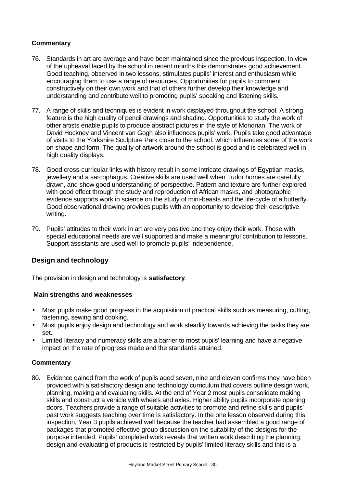- 76. Standards in art are average and have been maintained since the previous inspection. In view of the upheaval faced by the school in recent months this demonstrates good achievement. Good teaching, observed in two lessons, stimulates pupils' interest and enthusiasm while encouraging them to use a range of resources. Opportunities for pupils to comment constructively on their own work and that of others further develop their knowledge and understanding and contribute well to promoting pupils' speaking and listening skills.
- 77. A range of skills and techniques is evident in work displayed throughout the school. A strong feature is the high quality of pencil drawings and shading. Opportunities to study the work of other artists enable pupils to produce abstract pictures in the style of Mondrian. The work of David Hockney and Vincent van Gogh also influences pupils' work. Pupils take good advantage of visits to the Yorkshire Sculpture Park close to the school, which influences some of the work on shape and form. The quality of artwork around the school is good and is celebrated well in high quality displays.
- 78. Good cross-curricular links with history result in some intricate drawings of Egyptian masks, jewellery and a sarcophagus. Creative skills are used well when Tudor homes are carefully drawn, and show good understanding of perspective. Pattern and texture are further explored with good effect through the study and reproduction of African masks, and photographic evidence supports work in science on the study of mini-beasts and the life-cycle of a butterfly. Good observational drawing provides pupils with an opportunity to develop their descriptive writing.
- 79. Pupils' attitudes to their work in art are very positive and they enjoy their work. Those with special educational needs are well supported and make a meaningful contribution to lessons. Support assistants are used well to promote pupils' independence.

# **Design and technology**

The provision in design and technology is **satisfactory**.

## **Main strengths and weaknesses**

- Most pupils make good progress in the acquisition of practical skills such as measuring, cutting, fastening, sewing and cooking.
- Most pupils enjoy design and technology and work steadily towards achieving the tasks they are set.
- Limited literacy and numeracy skills are a barrier to most pupils' learning and have a negative impact on the rate of progress made and the standards attained.

## **Commentary**

80. Evidence gained from the work of pupils aged seven, nine and eleven confirms they have been provided with a satisfactory design and technology curriculum that covers outline design work, planning, making and evaluating skills. At the end of Year 2 most pupils consolidate making skills and construct a vehicle with wheels and axles. Higher ability pupils incorporate opening doors. Teachers provide a range of suitable activities to promote and refine skills and pupils' past work suggests teaching over time is satisfactory. In the one lesson observed during this inspection, Year 3 pupils achieved well because the teacher had assembled a good range of packages that promoted effective group discussion on the suitability of the designs for the purpose intended. Pupils' completed work reveals that written work describing the planning, design and evaluating of products is restricted by pupils' limited literacy skills and this is a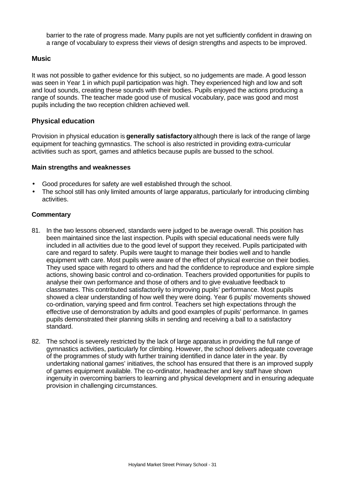barrier to the rate of progress made. Many pupils are not yet sufficiently confident in drawing on a range of vocabulary to express their views of design strengths and aspects to be improved.

# **Music**

It was not possible to gather evidence for this subject, so no judgements are made. A good lesson was seen in Year 1 in which pupil participation was high. They experienced high and low and soft and loud sounds, creating these sounds with their bodies. Pupils enjoyed the actions producing a range of sounds. The teacher made good use of musical vocabulary, pace was good and most pupils including the two reception children achieved well.

# **Physical education**

Provision in physical education is **generally satisfactory** although there is lack of the range of large equipment for teaching gymnastics. The school is also restricted in providing extra-curricular activities such as sport, games and athletics because pupils are bussed to the school.

#### **Main strengths and weaknesses**

- Good procedures for safety are well established through the school.
- The school still has only limited amounts of large apparatus, particularly for introducing climbing activities.

- 81. In the two lessons observed, standards were judged to be average overall. This position has been maintained since the last inspection. Pupils with special educational needs were fully included in all activities due to the good level of support they received. Pupils participated with care and regard to safety. Pupils were taught to manage their bodies well and to handle equipment with care. Most pupils were aware of the effect of physical exercise on their bodies. They used space with regard to others and had the confidence to reproduce and explore simple actions, showing basic control and co-ordination. Teachers provided opportunities for pupils to analyse their own performance and those of others and to give evaluative feedback to classmates. This contributed satisfactorily to improving pupils' performance. Most pupils showed a clear understanding of how well they were doing. Year 6 pupils' movements showed co-ordination, varying speed and firm control. Teachers set high expectations through the effective use of demonstration by adults and good examples of pupils' performance. In games pupils demonstrated their planning skills in sending and receiving a ball to a satisfactory standard.
- 82. The school is severely restricted by the lack of large apparatus in providing the full range of gymnastics activities, particularly for climbing. However, the school delivers adequate coverage of the programmes of study with further training identified in dance later in the year. By undertaking national games' initiatives, the school has ensured that there is an improved supply of games equipment available. The co-ordinator, headteacher and key staff have shown ingenuity in overcoming barriers to learning and physical development and in ensuring adequate provision in challenging circumstances.